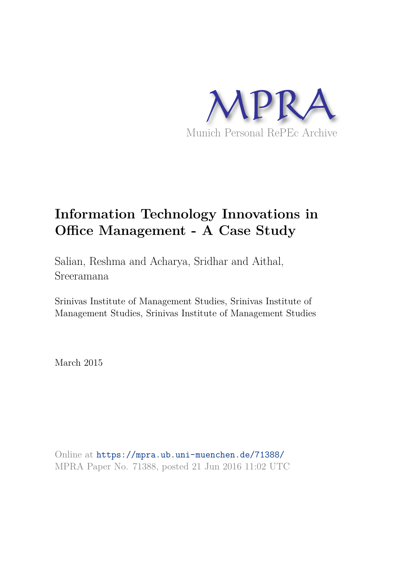

# **Information Technology Innovations in Office Management - A Case Study**

Salian, Reshma and Acharya, Sridhar and Aithal, Sreeramana

Srinivas Institute of Management Studies, Srinivas Institute of Management Studies, Srinivas Institute of Management Studies

March 2015

Online at https://mpra.ub.uni-muenchen.de/71388/ MPRA Paper No. 71388, posted 21 Jun 2016 11:02 UTC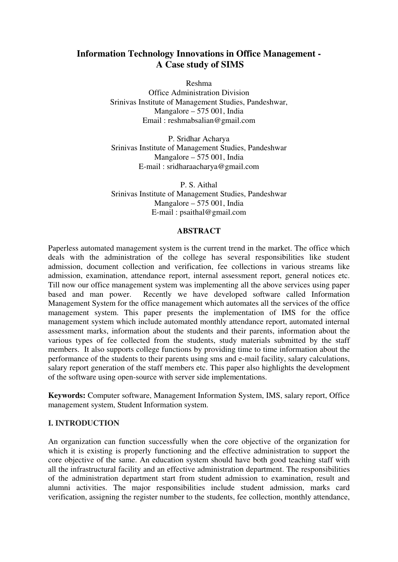# **Information Technology Innovations in Office Management - A Case study of SIMS**

Reshma

Office Administration Division Srinivas Institute of Management Studies, Pandeshwar, Mangalore – 575 001, India Email : reshmabsalian@gmail.com

P. Sridhar Acharya Srinivas Institute of Management Studies, Pandeshwar Mangalore – 575 001, India E-mail : sridharaacharya@gmail.com

P. S. Aithal Srinivas Institute of Management Studies, Pandeshwar Mangalore – 575 001, India E-mail : psaithal@gmail.com

#### **ABSTRACT**

Paperless automated management system is the current trend in the market. The office which deals with the administration of the college has several responsibilities like student admission, document collection and verification, fee collections in various streams like admission, examination, attendance report, internal assessment report, general notices etc. Till now our office management system was implementing all the above services using paper based and man power. Recently we have developed software called Information Management System for the office management which automates all the services of the office management system. This paper presents the implementation of IMS for the office management system which include automated monthly attendance report, automated internal assessment marks, information about the students and their parents, information about the various types of fee collected from the students, study materials submitted by the staff members. It also supports college functions by providing time to time information about the performance of the students to their parents using sms and e-mail facility, salary calculations, salary report generation of the staff members etc. This paper also highlights the development of the software using open-source with server side implementations.

**Keywords:** Computer software, Management Information System, IMS, salary report, Office management system, Student Information system.

#### **I. INTRODUCTION**

An organization can function successfully when the core objective of the organization for which it is existing is properly functioning and the effective administration to support the core objective of the same. An education system should have both good teaching staff with all the infrastructural facility and an effective administration department. The responsibilities of the administration department start from student admission to examination, result and alumni activities. The major responsibilities include student admission, marks card verification, assigning the register number to the students, fee collection, monthly attendance,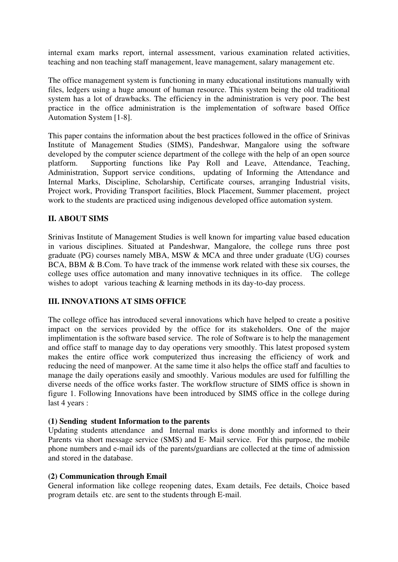internal exam marks report, internal assessment, various examination related activities, teaching and non teaching staff management, leave management, salary management etc.

The office management system is functioning in many educational institutions manually with files, ledgers using a huge amount of human resource. This system being the old traditional system has a lot of drawbacks. The efficiency in the administration is very poor. The best practice in the office administration is the implementation of software based Office Automation System [1-8].

This paper contains the information about the best practices followed in the office of Srinivas Institute of Management Studies (SIMS), Pandeshwar, Mangalore using the software developed by the computer science department of the college with the help of an open source platform. Supporting functions like Pay Roll and Leave, Attendance, Teaching, Administration, Support service conditions, updating of Informing the Attendance and Internal Marks, Discipline, Scholarship, Certificate courses, arranging Industrial visits, Project work, Providing Transport facilities, Block Placement, Summer placement, project work to the students are practiced using indigenous developed office automation system.

## **II. ABOUT SIMS**

Srinivas Institute of Management Studies is well known for imparting value based education in various disciplines. Situated at Pandeshwar, Mangalore, the college runs three post graduate (PG) courses namely MBA, MSW & MCA and three under graduate (UG) courses BCA, BBM & B.Com. To have track of the immense work related with these six courses, the college uses office automation and many innovative techniques in its office. The college wishes to adopt various teaching & learning methods in its day-to-day process.

# **III. INNOVATIONS AT SIMS OFFICE**

The college office has introduced several innovations which have helped to create a positive impact on the services provided by the office for its stakeholders. One of the major implimentation is the software based service. The role of Software is to help the management and office staff to manage day to day operations very smoothly. This latest proposed system makes the entire office work computerized thus increasing the efficiency of work and reducing the need of manpower. At the same time it also helps the office staff and faculties to manage the daily operations easily and smoothly. Various modules are used for fulfilling the diverse needs of the office works faster. The workflow structure of SIMS office is shown in figure 1. Following Innovations have been introduced by SIMS office in the college during last 4 years :

#### **(1) Sending student Information to the parents**

Updating students attendance and Internal marks is done monthly and informed to their Parents via short message service (SMS) and E- Mail service. For this purpose, the mobile phone numbers and e-mail ids of the parents/guardians are collected at the time of admission and stored in the database.

#### **(2) Communication through Email**

General information like college reopening dates, Exam details, Fee details, Choice based program details etc. are sent to the students through E-mail.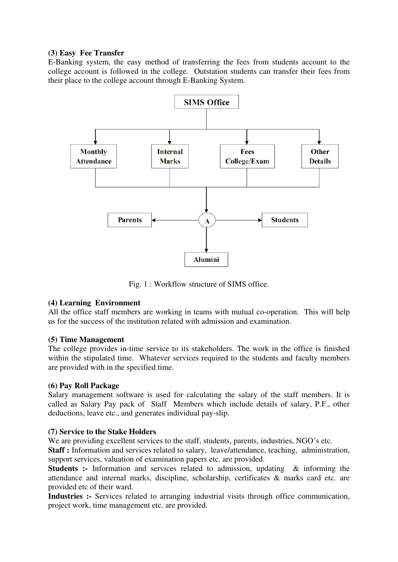## **(3) Easy Fee Transfer**

E-Banking system, the easy method of transferring the fees from students account to the college account is followed in the college. Outstation students can transfer their fees from their place to the college account through E-Banking System.



Fig. 1 : Workflow structure of SIMS office.

# **(4) Learning Environment**

All the office staff members are working in teams with mutual co-operation. This will help us for the success of the institution related with admission and examination.

#### **(5) Time Management**

The college provides in-time service to its stakeholders. The work in the office is finished within the stipulated time. Whatever services required to the students and faculty members are provided with in the specified time.

# **(6) Pay Roll Package**

Salary management software is used for calculating the salary of the staff members. It is called as Salary Pay pack of Staff Members which include details of salary, P.F., other deductions, leave etc., and generates individual pay-slip.

#### **(7) Service to the Stake Holders**

We are providing excellent services to the staff, students, parents, industries, NGO's etc.

**Staff :** Information and services related to salary, leave/attendance, teaching, administration, support services, valuation of examination papers etc. are provided.

**Students :-** Information and services related to admission, updating & informing the attendance and internal marks, discipline, scholarship, certificates & marks card etc. are provided etc of their ward.

**Industries :-** Services related to arranging industrial visits through office communication, project work, time management etc. are provided.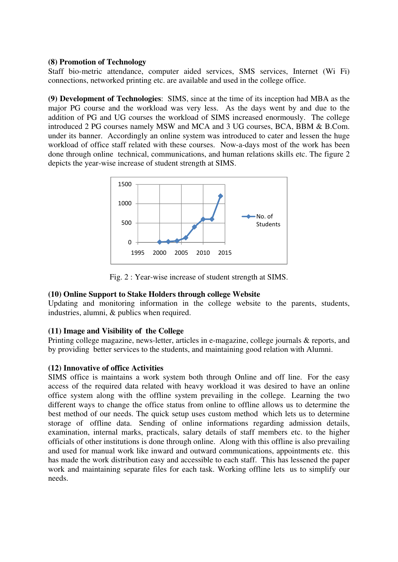## **(8) Promotion of Technology**

Staff bio-metric attendance, computer aided services, SMS services, Internet (Wi Fi) connections, networked printing etc. are available and used in the college office.

**(9) Development of Technologies**: SIMS, since at the time of its inception had MBA as the major PG course and the workload was very less. As the days went by and due to the addition of PG and UG courses the workload of SIMS increased enormously. The college introduced 2 PG courses namely MSW and MCA and 3 UG courses, BCA, BBM & B.Com. under its banner. Accordingly an online system was introduced to cater and lessen the huge workload of office staff related with these courses. Now-a-days most of the work has been done through online technical, communications, and human relations skills etc. The figure 2 depicts the year-wise increase of student strength at SIMS.



Fig. 2 : Year-wise increase of student strength at SIMS.

# **(10) Online Support to Stake Holders through college Website**

Updating and monitoring information in the college website to the parents, students, industries, alumni, & publics when required.

# **(11) Image and Visibility of the College**

Printing college magazine, news-letter, articles in e-magazine, college journals & reports, and by providing better services to the students, and maintaining good relation with Alumni.

#### **(12) Innovative of office Activities**

SIMS office is maintains a work system both through Online and off line. For the easy access of the required data related with heavy workload it was desired to have an online office system along with the offline system prevailing in the college. Learning the two different ways to change the office status from online to offline allows us to determine the best method of our needs. The quick setup uses custom method which lets us to determine storage of offline data. Sending of online informations regarding admission details, examination, internal marks, practicals, salary details of staff members etc. to the higher officials of other institutions is done through online. Along with this offline is also prevailing and used for manual work like inward and outward communications, appointments etc. this has made the work distribution easy and accessible to each staff. This has lessened the paper work and maintaining separate files for each task. Working offline lets us to simplify our needs.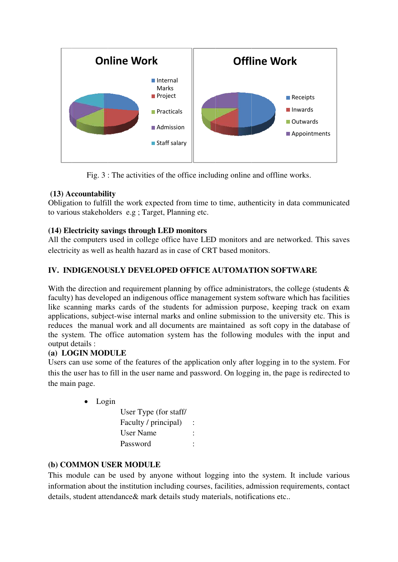

Fig. 3 : The activities of the office including online and offline works.

# **(13) Ac ccountabili ity**

Obligation to fulfill the work expected from time to time, authenticity in data communicated to various stakeholders e.g ; Target, Planning etc.

# **(14) Ele ectricity sa avings throu ugh LED m monitors**

All the computers used in college office have LED monitors and are networked. This saves electricity as well as health hazard as in case of CRT based monitors.

# **IV. INDIGENOUSLY DEVELOPED OFFICE AUTOMATION SOFTWARE**

With the direction and requirement planning by office administrators, the college (students  $\&$ faculty) has developed an indigenous office management system software which has facilities like scanning marks cards of the students for admission purpose, keeping track on exam applications, subject-wise internal marks and online submission to the university etc. This is reduces the manual work and all documents are maintained as soft copy in the database of the system. The office automation system has the following modules with the input and output d details :

# **(a) LOGIN MODULE**

Users can use some of the features of the application only after logging in to the system. For this the user has to fill in the user name and password. On logging in, the page is redirected to the mai n page.

# • Login

| User Type (for staff/ |  |
|-----------------------|--|
| Faculty / principal)  |  |
| User Name             |  |
| Password              |  |

# (b) COMMON USER MODULE

This module can be used by anyone without logging into the system. It include various information about the institution including courses, facilities, admission requirements, contact details, student attendance & mark details study materials, notifications etc..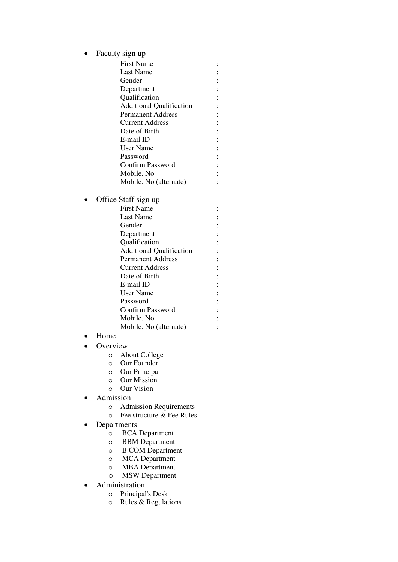• Faculty sign up

First Name : Last Name : Gender : the set of the set of the set of the set of the set of the set of the set of the set of the set of the set of the set of the set of the set of the set of the set of the set of the set of the set of the set of the Department : Qualification : Additional Qualification : Permanent Address : Current Address : Date of Birth : E-mail ID : User Name : Password : Confirm Password : Mobile. No : Mobile. No (alternate) :

- Office Staff sign up
	- First Name : Last Name : Gender : Department : Qualification : Additional Qualification : Permanent Address : Current Address : Date of Birth : E-mail ID : User Name : Password : Confirm Password : Mobile. No : Mobile. No (alternate) :
- Home
- Overview
	- o About College
	- o Our Founder
	- o Our Principal
	- o Our Mission
	- o Our Vision
- Admission
	- o Admission Requirements
	- $\circ$  Fee structure  $\&$  Fee Rules
- Departments
	- o BCA Department
	- o BBM Department
	- o B.COM Department
	- o MCA Department
	- o MBA Department
	- o MSW Department
- Administration
	- o Principal's Desk
	- o Rules & Regulations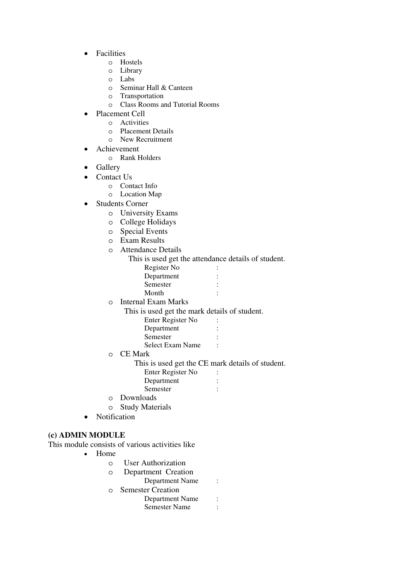- Facilities
	- o Hostels
	- o Library
	- o Labs
	- o Seminar Hall & Canteen
	- o Transportation
	- o Class Rooms and Tutorial Rooms
- Placement Cell
	- o Activities
	- o Placement Details
	- o New Recruitment
- Achievement
	- o Rank Holders
- Gallery
- Contact Us
	- o Contact Info
	- o Location Map
- Students Corner
	- o University Exams
	- o College Holidays
	- o Special Events
	- o Exam Results
	- o Attendance Details
		- This is used get the attendance details of student.

| Register No |  |
|-------------|--|
| Department  |  |
| Semester    |  |
|             |  |

- Month :
- o Internal Exam Marks
	- This is used get the mark details of student.

| Enter Register No |  |
|-------------------|--|
| Department        |  |
| Semester          |  |

- Select Exam Name:
- o CE Mark

This is used get the CE mark details of student.

- Enter Register No : Department :
- Semester :
- o Downloads
- o Study Materials
- Notification

# **(c) ADMIN MODULE**

This module consists of various activities like

- Home
	- o User Authorization
	- o Department Creation
		- Department Name :
	- o Semester Creation
		- Department Name : Semester Name :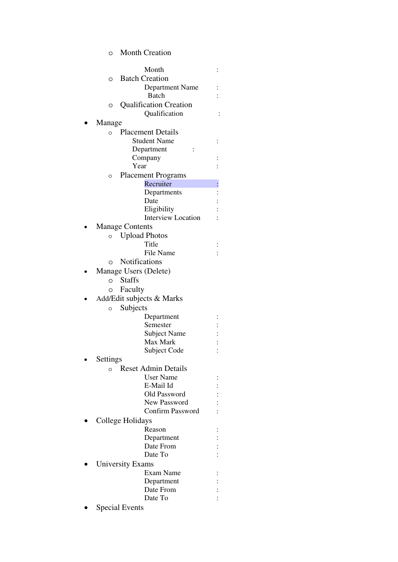o Month Creation

| Month                                 |  |
|---------------------------------------|--|
| <b>Batch Creation</b><br>O            |  |
| Department Name                       |  |
| Batch                                 |  |
| <b>Qualification Creation</b><br>O    |  |
| Qualification                         |  |
| Manage                                |  |
| <b>Placement Details</b><br>$\circ$   |  |
| <b>Student Name</b>                   |  |
| Department                            |  |
| Company                               |  |
| Year                                  |  |
| <b>Placement Programs</b><br>$\circ$  |  |
| Recruiter                             |  |
| Departments                           |  |
| Date                                  |  |
| Eligibility                           |  |
| <b>Interview Location</b>             |  |
| <b>Manage Contents</b>                |  |
| <b>Upload Photos</b><br>$\circ$       |  |
| Title                                 |  |
| File Name                             |  |
| <b>Notifications</b><br>O             |  |
| Manage Users (Delete)                 |  |
| <b>Staffs</b><br>$\circ$              |  |
| Faculty<br>O                          |  |
| Add/Edit subjects & Marks             |  |
| Subjects<br>$\circ$                   |  |
| Department                            |  |
| Semester                              |  |
| <b>Subject Name</b>                   |  |
| Max Mark                              |  |
| Subject Code                          |  |
| Settings                              |  |
| <b>Reset Admin Details</b><br>$\circ$ |  |
| <b>User Name</b>                      |  |
| E-Mail Id                             |  |
| Old Password<br>New Password          |  |
| <b>Confirm Password</b>               |  |
| College Holidays                      |  |
| Reason                                |  |
| Department                            |  |
| Date From                             |  |
| Date To                               |  |
| <b>University Exams</b>               |  |
| Exam Name                             |  |
| Department                            |  |
| Date From                             |  |
| Date To                               |  |
| <b>Special Events</b>                 |  |
|                                       |  |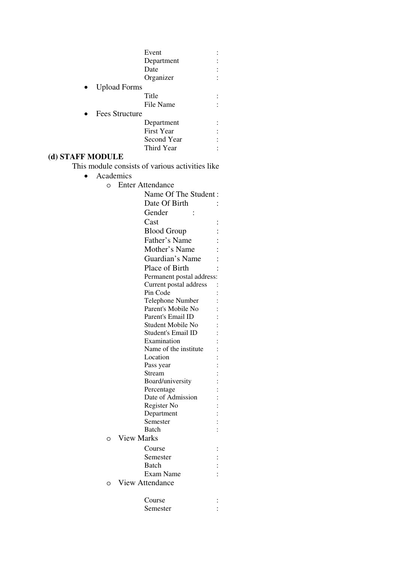|                       | Event       |  |
|-----------------------|-------------|--|
|                       | Department  |  |
|                       | Date        |  |
|                       | Organizer   |  |
| <b>Upload Forms</b>   |             |  |
|                       | Title       |  |
|                       | File Name   |  |
| <b>Fees Structure</b> |             |  |
|                       | Department  |  |
|                       | First Year  |  |
|                       | Second Year |  |
|                       | Third Year  |  |
| (d) STAFF MODULE      |             |  |
| ---                   |             |  |

This module consists of various activities like

- Academics
	- o Enter Attendance

Name Of The Student : Date Of Birth : Gender : Cast : Blood Group : Father's Name : Mother's Name : Guardian's Name: Place of Birth Permanent postal address: Current postal address : Pin Code : Telephone Number : Parent's Mobile No : Parent's Email ID : Student Mobile No : Student's Email ID : Examination : Name of the institute : Location : Pass year : Stream : Board/university : Percentage : Date of Admission : Register No : Department : Semester : Batch : o View Marks Course : Semester : Batch : Exam Name : o View Attendance Course : Semester :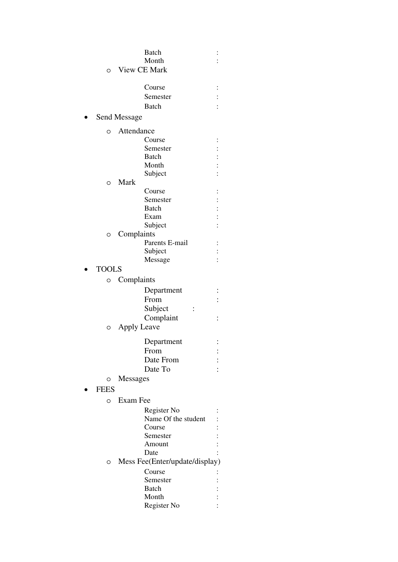|              | Batch                          |                     |
|--------------|--------------------------------|---------------------|
|              | Month                          |                     |
| O            | <b>View CE Mark</b>            |                     |
|              |                                |                     |
|              | Course                         |                     |
|              | Semester                       |                     |
|              | <b>Batch</b>                   |                     |
|              |                                |                     |
|              | Send Message                   |                     |
| O            | Attendance                     |                     |
|              | Course                         |                     |
|              | Semester                       |                     |
|              | <b>Batch</b>                   |                     |
|              | Month                          |                     |
|              | Subject                        |                     |
| O            | Mark                           |                     |
|              | Course                         |                     |
|              | Semester                       |                     |
|              | <b>Batch</b>                   | $\vdots$ : $\vdots$ |
|              | Exam                           |                     |
|              | Subject                        |                     |
| O            | Complaints                     |                     |
|              | Parents E-mail                 | $\vdots$            |
|              | Subject                        |                     |
|              | Message                        |                     |
| <b>TOOLS</b> |                                |                     |
|              |                                |                     |
| O            | Complaints                     |                     |
|              | Department                     |                     |
|              | From                           |                     |
|              | Subject                        |                     |
|              | Complaint                      |                     |
| O            | <b>Apply Leave</b>             |                     |
|              |                                |                     |
|              | Department                     |                     |
|              | From                           |                     |
|              | Date From                      |                     |
|              | Date To                        |                     |
| O            | Messages                       |                     |
| <b>FEES</b>  |                                |                     |
|              |                                |                     |
| O            | Exam Fee                       |                     |
|              | Register No                    |                     |
|              | Name Of the student            |                     |
|              | Course                         |                     |
|              | Semester                       |                     |
|              | Amount                         |                     |
|              | Date                           |                     |
| O            | Mess Fee(Enter/update/display) |                     |
|              | Course                         |                     |
|              | Semester                       |                     |
|              | Batch                          |                     |
|              | Month                          |                     |
|              |                                |                     |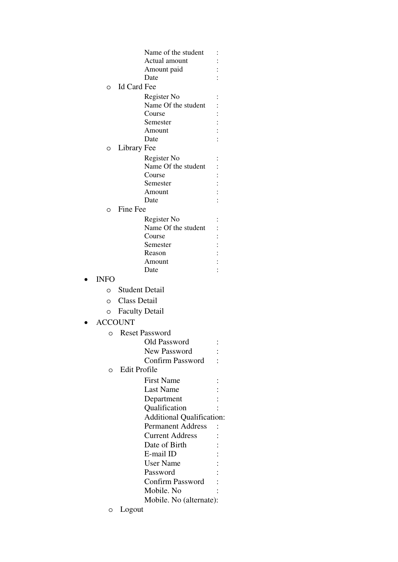|                |                       | Name of the student              |  |
|----------------|-----------------------|----------------------------------|--|
|                |                       | Actual amount                    |  |
|                |                       | Amount paid                      |  |
|                |                       | Date                             |  |
| O              | Id Card Fee           |                                  |  |
|                |                       | Register No                      |  |
|                |                       | Name Of the student              |  |
|                |                       | Course                           |  |
|                |                       | Semester                         |  |
|                |                       | Amount                           |  |
|                |                       | Date                             |  |
| O              | Library Fee           |                                  |  |
|                |                       | Register No                      |  |
|                |                       | Name Of the student              |  |
|                |                       | Course                           |  |
|                |                       | Semester                         |  |
|                |                       | Amount                           |  |
|                |                       | Date                             |  |
| $\circ$        | Fine Fee              |                                  |  |
|                |                       | Register No                      |  |
|                |                       | Name Of the student              |  |
|                |                       | Course                           |  |
|                |                       | Semester                         |  |
|                |                       | Reason                           |  |
|                |                       | Amount                           |  |
|                |                       | Date                             |  |
| <b>INFO</b>    |                       |                                  |  |
|                | o Student Detail      |                                  |  |
| O              | <b>Class Detail</b>   |                                  |  |
| O              | <b>Faculty Detail</b> |                                  |  |
| <b>ACCOUNT</b> |                       |                                  |  |
|                |                       |                                  |  |
| O              |                       | <b>Reset Password</b>            |  |
|                |                       | <b>Old Password</b>              |  |
|                |                       | <b>New Password</b>              |  |
|                |                       | <b>Confirm Password</b>          |  |
| O              | <b>Edit Profile</b>   |                                  |  |
|                |                       | <b>First Name</b>                |  |
|                |                       | <b>Last Name</b>                 |  |
|                |                       | Department                       |  |
|                |                       | Qualification                    |  |
|                |                       | <b>Additional Qualification:</b> |  |
|                |                       | <b>Permanent Address</b>         |  |
|                |                       | <b>Current Address</b>           |  |
|                |                       | Date of Birth                    |  |
|                |                       | E-mail ID                        |  |
|                |                       | <b>User Name</b>                 |  |
|                |                       | Password                         |  |
|                |                       | <b>Confirm Password</b>          |  |
|                |                       | Mobile. No                       |  |
|                |                       | Mobile. No (alternate):          |  |
| O              | Logout                |                                  |  |
|                |                       |                                  |  |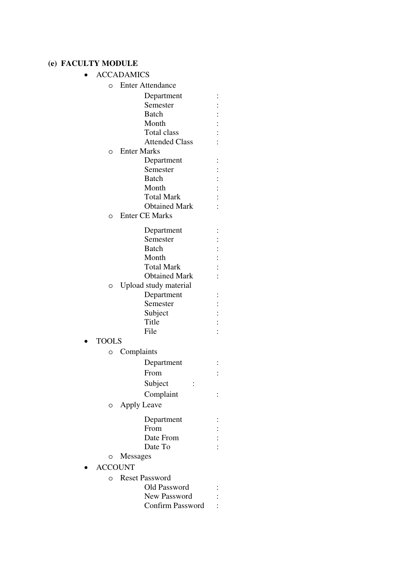# **(e) FACULTY MODULE**

| <b>ACCADAMICS</b> |                         |  |  |
|-------------------|-------------------------|--|--|
| O                 | <b>Enter Attendance</b> |  |  |
|                   | Department              |  |  |
|                   | Semester                |  |  |
|                   | <b>Batch</b>            |  |  |
|                   | Month                   |  |  |
|                   | Total class             |  |  |
|                   | <b>Attended Class</b>   |  |  |
| O                 | <b>Enter Marks</b>      |  |  |
|                   | Department              |  |  |
|                   | Semester                |  |  |
|                   | Batch                   |  |  |
|                   | Month                   |  |  |
|                   | <b>Total Mark</b>       |  |  |
|                   | <b>Obtained Mark</b>    |  |  |
| O                 | <b>Enter CE Marks</b>   |  |  |
|                   | Department              |  |  |
|                   | Semester                |  |  |
|                   | <b>Batch</b>            |  |  |
|                   | Month                   |  |  |
|                   | <b>Total Mark</b>       |  |  |
|                   | <b>Obtained Mark</b>    |  |  |
| O                 | Upload study material   |  |  |
|                   | Department              |  |  |
|                   | Semester                |  |  |
|                   | Subject                 |  |  |
|                   | Title                   |  |  |
|                   | File                    |  |  |
| <b>TOOLS</b>      |                         |  |  |
| O                 | Complaints              |  |  |
|                   | Department              |  |  |
|                   | From                    |  |  |
|                   | Subject                 |  |  |
|                   |                         |  |  |
|                   | Complaint               |  |  |
| O                 | <b>Apply Leave</b>      |  |  |
|                   | Department              |  |  |
|                   | From                    |  |  |
|                   | Date From               |  |  |
|                   | Date To                 |  |  |
|                   | Messages                |  |  |
| <b>ACCOUNT</b>    |                         |  |  |
| O                 | <b>Reset Password</b>   |  |  |
|                   | Old Password            |  |  |
|                   | <b>New Password</b>     |  |  |
|                   | <b>Confirm Password</b> |  |  |
|                   |                         |  |  |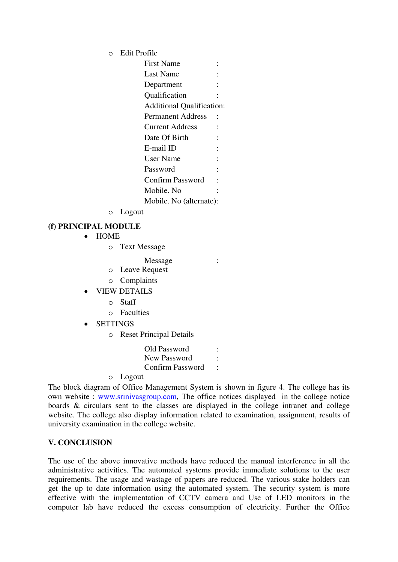o Edit Profile

| <b>First Name</b>                |  |
|----------------------------------|--|
| Last Name                        |  |
| Department                       |  |
| Qualification                    |  |
| <b>Additional Qualification:</b> |  |
| <b>Permanent Address</b>         |  |
| <b>Current Address</b>           |  |
| Date Of Birth                    |  |
| E-mail ID                        |  |
| User Name                        |  |
| Password                         |  |
| <b>Confirm Password</b>          |  |
| Mobile. No                       |  |
| Mobile. No (alternate):          |  |

o Logout

## **(f) PRINCIPAL MODULE**

- HOME
	- o Text Message
		- Message :
	- o Leave Request
	- o Complaints
- VIEW DETAILS
	- o Staff
	- o Faculties
- **SETTINGS** 
	- o Reset Principal Details

Old Password : New Password : Confirm Password :

o Logout

The block diagram of Office Management System is shown in figure 4. The college has its own website : www.srinivasgroup.com, The office notices displayed in the college notice boards & circulars sent to the classes are displayed in the college intranet and college website. The college also display information related to examination, assignment, results of university examination in the college website.

# **V. CONCLUSION**

The use of the above innovative methods have reduced the manual interference in all the administrative activities. The automated systems provide immediate solutions to the user requirements. The usage and wastage of papers are reduced. The various stake holders can get the up to date information using the automated system. The security system is more effective with the implementation of CCTV camera and Use of LED monitors in the computer lab have reduced the excess consumption of electricity. Further the Office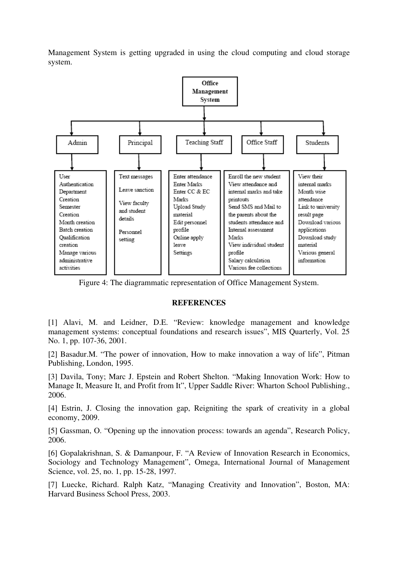Management System is getting upgraded in using the cloud computing and cloud storage system.



Figure 4: The diagrammatic representation of Office Management System.

#### **REFERENCES**

[1] Alavi, M. and Leidner, D.E. "Review: knowledge management and knowledge management systems: conceptual foundations and research issues", MIS Quarterly, Vol. 25 No. 1, pp. 107-36, 2001.

[2] Basadur.M. "The power of innovation, How to make innovation a way of life", Pitman Publishing, London, 1995.

[3] Davila, Tony; Marc J. Epstein and Robert Shelton. "Making Innovation Work: How to Manage It, Measure It, and Profit from It", Upper Saddle River: Wharton School Publishing., 2006.

[4] Estrin, J. Closing the innovation gap, Reigniting the spark of creativity in a global economy, 2009.

[5] Gassman, O. "Opening up the innovation process: towards an agenda", Research Policy, 2006.

[6] Gopalakrishnan, S. & Damanpour, F. "A Review of Innovation Research in Economics, Sociology and Technology Management", Omega, International Journal of Management Science, vol. 25, no. 1, pp. 15-28, 1997.

[7] Luecke, Richard. Ralph Katz, "Managing Creativity and Innovation", Boston, MA: Harvard Business School Press, 2003.